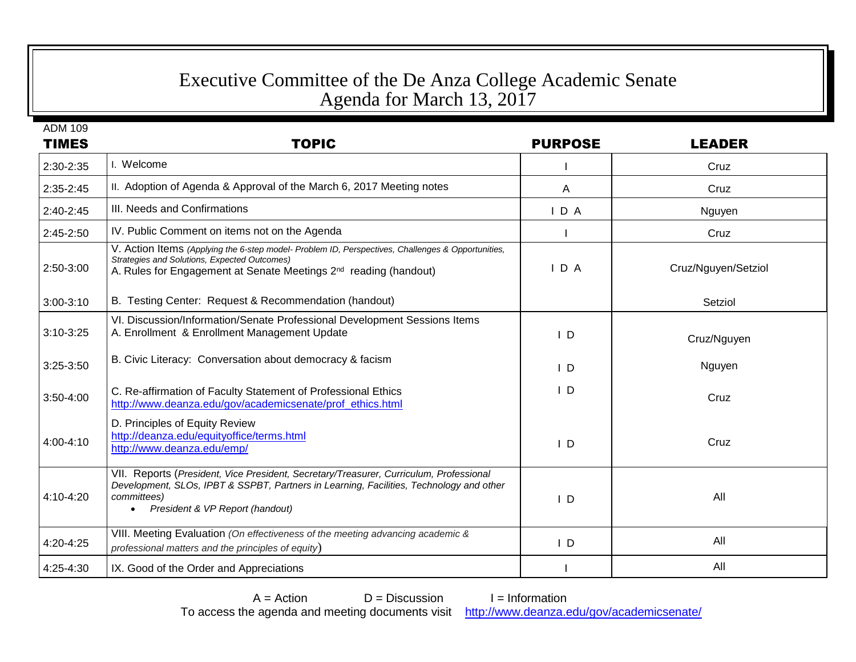## Executive Committee of the De Anza College Academic Senate Agenda for March 13, 2017

ADM 109 TIMES TOPIC PURPOSE LEADER 2:30-2:35 I. Welcome I Cruz 2:35-2:45 | II. Adoption of Agenda & Approval of the March 6, 2017 Meeting notes A Cruz A Cruz 2:40-2:45 | III. Needs and Confirmations **I CONFIRM STATE ASSESS** I D A Nguyen 2:45-2:50 IV. Public Comment on items not on the Agenda I Cruz I Cruz I Cruz 2:50-3:00 V. Action Items *(Applying the 6-step model- Problem ID, Perspectives, Challenges & Opportunities, Strategies and Solutions, Expected Outcomes)* A. Rules for Engagement at Senate Meetings 2<sup>nd</sup> I D A | Cruz/Nguyen/Setziol 3:00-3:10 B. Testing Center: Request & Recommendation (handout) Setziol 3:10-3:25 VI. Discussion/Information/Senate Professional Development Sessions Items A. Enrollment & Enrollment Management Update **I Cruz/Nguyen I D** Cruz/Nguyen 3:25-3:50 | B. Civic Literacy: Conversation about democracy & facism I D Nguyen 3:50-4:00 C. Re-affirmation of Faculty Statement of Professional Ethics [http://www.deanza.edu/gov/academicsenate/prof\\_ethics.html](http://www.deanza.edu/gov/academicsenate/prof_ethics.html) I D Cruz 4:00-4:10 D. Principles of Equity Review <http://deanza.edu/equityoffice/terms.html> <http://www.deanza.edu/emp/> I D Cruz 4:10-4:20 VII. Reports (*President, Vice President, Secretary/Treasurer, Curriculum, Professional Development, SLOs, IPBT & SSPBT, Partners in Learning, Facilities, Technology and other committees) President & VP Report (handout)* I D All 4:20-4:25 VIII. Meeting Evaluation *(On effectiveness of the meeting advancing academic & professional matters and the principles of equity*) I D All 4:25-4:30 IX. Good of the Order and Appreciations I All